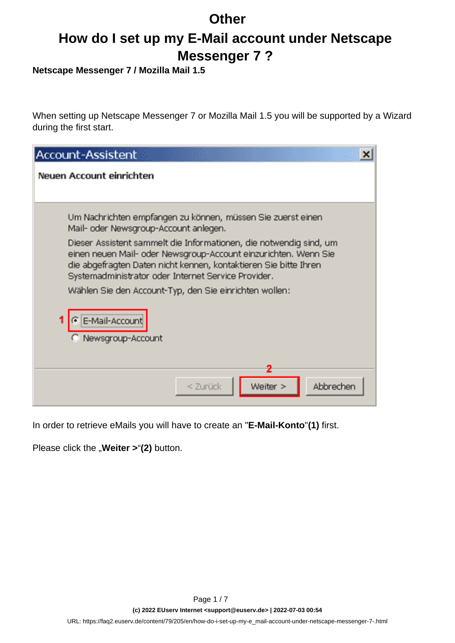# **How do I set up my E-Mail account under Netscape Messenger 7 ?**

**Netscape Messenger 7 / Mozilla Mail 1.5**

When setting up Netscape Messenger 7 or Mozilla Mail 1.5 you will be supported by a Wizard during the first start.

| Account-Assistent<br>×                                                                                                                                                                                                                                           |
|------------------------------------------------------------------------------------------------------------------------------------------------------------------------------------------------------------------------------------------------------------------|
| Neuen Account einrichten                                                                                                                                                                                                                                         |
|                                                                                                                                                                                                                                                                  |
| Um Nachrichten empfangen zu können, müssen Sie zuerst einen<br>Mail- oder Newsgroup-Account anlegen.                                                                                                                                                             |
| Dieser Assistent sammelt die Informationen, die notwendig sind, um<br>einen neuen Mail- oder Newsgroup-Account einzurichten. Wenn Sie<br>die abgefragten Daten nicht kennen, kontaktieren Sie bitte Ihren<br>Systemadministrator oder Internet Service Provider. |
| Wählen Sie den Account-Typ, den Sie einrichten wollen:                                                                                                                                                                                                           |
| E-Mail-Account<br>Newsgroup-Account                                                                                                                                                                                                                              |
| 2                                                                                                                                                                                                                                                                |
| Weiter ><br>Abbrechen<br>< Zurück                                                                                                                                                                                                                                |

In order to retrieve eMails you will have to create an "**E-Mail-Konto**"**(1)** first.

Please click the "**Weiter > "(2)** button.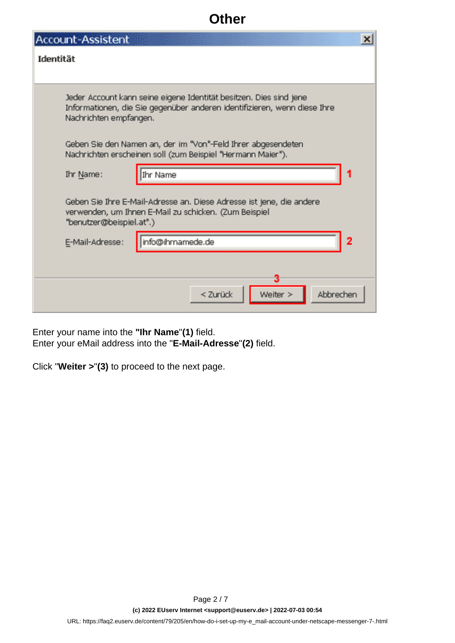| Account-Assistent                                                                                                                                                        |  |
|--------------------------------------------------------------------------------------------------------------------------------------------------------------------------|--|
| Identität                                                                                                                                                                |  |
|                                                                                                                                                                          |  |
| Jeder Account kann seine eigene Identität besitzen. Dies sind jene<br>Informationen, die Sie gegenüber anderen identifizieren, wenn diese Ihre<br>Nachrichten empfangen. |  |
| Geben Sie den Namen an, der im "Von"-Feld Ihrer abgesendeten<br>Nachrichten erscheinen soll (zum Beispiel "Hermann Maier").                                              |  |
| Ihr Name:<br>Ihr Name                                                                                                                                                    |  |
| Geben Sie Ihre E-Mail-Adresse an. Diese Adresse ist jene, die andere<br>verwenden, um Ihnen E-Mail zu schicken. (Zum Beispiel<br>"benutzer@beispiel.at".)                |  |
| info@ihrnamede.de<br>E-Mail-Adresse:                                                                                                                                     |  |
|                                                                                                                                                                          |  |
| Weiter ><br>Abbrechen<br>< Zurück                                                                                                                                        |  |

Enter your name into the **"Ihr Name**"**(1)** field. Enter your eMail address into the "**E-Mail-Adresse**"**(2)** field.

Click "**Weiter >**"**(3)** to proceed to the next page.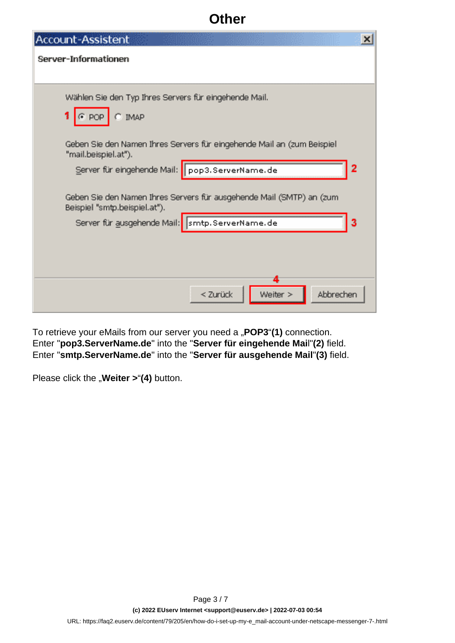| <b>Account-Assistent</b><br>×                                                                         |
|-------------------------------------------------------------------------------------------------------|
| Server-Informationen                                                                                  |
|                                                                                                       |
| Wählen Sie den Typ Ihres Servers für eingehende Mail.                                                 |
| $G$ POP<br>$C$ IMAP                                                                                   |
| Geben Sie den Namen Ihres Servers für eingehende Mail an (zum Beispiel<br>"mail.beispiel.at").        |
| Server für eingehende Mail: pop3.ServerName.de<br>2                                                   |
| Geben Sie den Namen Ihres Servers für ausgehende Mail (SMTP) an (zum<br>Beispiel "smtp.beispiel.at"). |
| Server für ausgehende Mail: smtp. ServerName. de<br>3                                                 |
|                                                                                                       |
| Weiter ><br>Abbrecher<br>< Zurück                                                                     |

To retrieve your eMails from our server you need a "POP3"(1) connection. Enter "**pop3.ServerName.de**" into the "**Server für eingehende Mai**l"**(2)** field. Enter "**smtp.ServerName.de**" into the "**Server für ausgehende Mail**"**(3)** field.

Please click the "**Weiter >"(4)** button.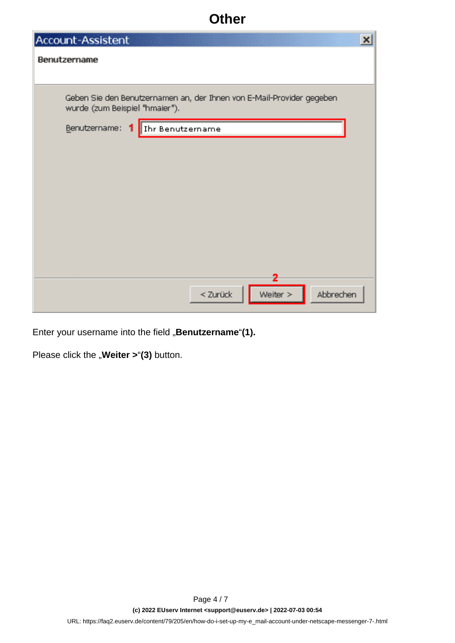| Account-Assistent                                                                                       | $\vert x \vert$ |
|---------------------------------------------------------------------------------------------------------|-----------------|
| Benutzername                                                                                            |                 |
|                                                                                                         |                 |
| Geben Sie den Benutzernamen an, der Ihnen von E-Mail-Provider gegeben<br>wurde (zum Beispiel "hmaier"). |                 |
| Benutzername:<br>Thr Benutzername<br>1                                                                  |                 |
|                                                                                                         |                 |
|                                                                                                         |                 |
|                                                                                                         |                 |
|                                                                                                         |                 |
|                                                                                                         |                 |
|                                                                                                         |                 |
|                                                                                                         |                 |
| 2<br>Weiter ><br>< Zurück<br>Abbrechen                                                                  |                 |

Enter your username into the field "Benutzername"(1).

Please click the "**Weiter > "(3)** button.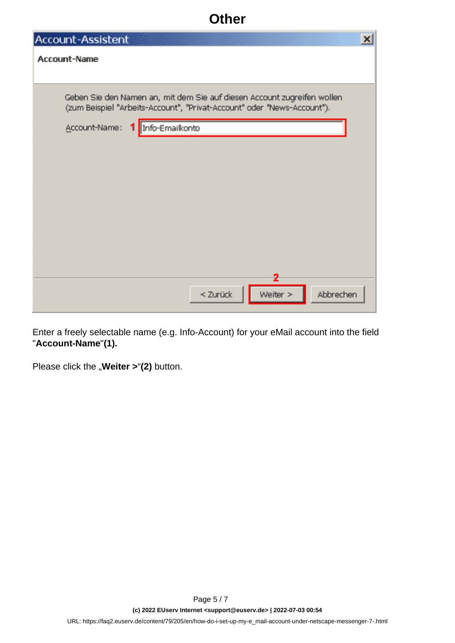| <b>Account-Assistent</b>                                                                                                                           | $\pmb{\times}$ |
|----------------------------------------------------------------------------------------------------------------------------------------------------|----------------|
| Account-Name                                                                                                                                       |                |
|                                                                                                                                                    |                |
| Geben Sie den Namen an, mit dem Sie auf diesen Account zugreifen wollen<br>(zum Beispiel "Arbeits-Account", "Privat-Account" oder "News-Account"). |                |
| Account-Name:<br>Info-Emailkonto<br>т.                                                                                                             |                |
|                                                                                                                                                    |                |
|                                                                                                                                                    |                |
|                                                                                                                                                    |                |
|                                                                                                                                                    |                |
|                                                                                                                                                    |                |
|                                                                                                                                                    |                |
|                                                                                                                                                    |                |
|                                                                                                                                                    |                |
| 2<br>Weiter ><br>< Zurück<br>Abbrechen                                                                                                             |                |

Enter a freely selectable name (e.g. Info-Account) for your eMail account into the field "**Account-Name**"**(1).**

Please click the "**Weiter > "(2)** button.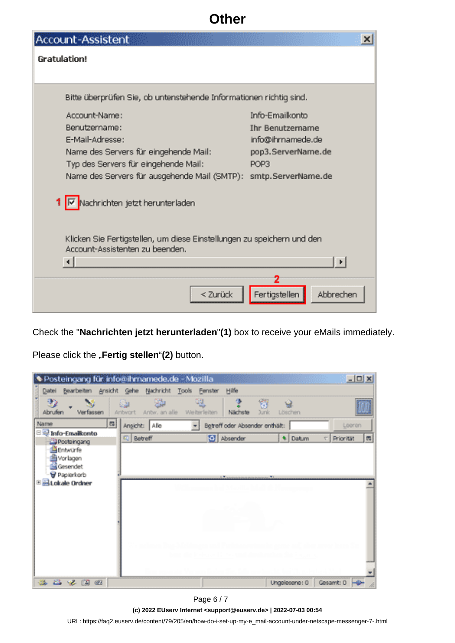| Account-Assistent                                                                                         | ×                          |  |  |
|-----------------------------------------------------------------------------------------------------------|----------------------------|--|--|
| Gratulation!                                                                                              |                            |  |  |
|                                                                                                           |                            |  |  |
| Bitte überprüfen Sie, ob untenstehende Informationen richtig sind.                                        |                            |  |  |
| Account-Name:                                                                                             | Info-Emailkonto            |  |  |
| Benutzername:                                                                                             | <b>Ihr Benutzername</b>    |  |  |
| E-Mail-Adresse:                                                                                           | info@ihrnamede.de          |  |  |
| Name des Servers für eingehende Mail:                                                                     | pop3.ServerName.de         |  |  |
| Typ des Servers für eingehende Mail:                                                                      | POP3                       |  |  |
| Name des Servers für ausgehende Mail (SMTP): smtp. ServerName. de                                         |                            |  |  |
| Nachrichten jetzt herunterladen                                                                           |                            |  |  |
| Klicken Sie Fertigstellen, um diese Einstellungen zu speichern und den<br>Account-Assistenten zu beenden. |                            |  |  |
|                                                                                                           |                            |  |  |
|                                                                                                           |                            |  |  |
| < Zurück                                                                                                  | Fertigstellen<br>Abbrechen |  |  |

Check the "**Nachrichten jetzt herunterladen**"**(1)** box to receive your eMails immediately.

Please click the "Fertig stellen"(2) button.

|                                     | Posteingang für info@ihmamede.de - Mozilla                    |                                   |               | $-10x$                                 |
|-------------------------------------|---------------------------------------------------------------|-----------------------------------|---------------|----------------------------------------|
| Datei                               | Bearbeiten Ansicht Gehe Nachricht Tools                       | Hilfe<br>Fenster                  |               |                                        |
| D<br>Abrufen<br>Verfassen           | 嗯<br>賹<br>للأناة<br>Antw. an alle<br>Weiterleiten<br>Aribwort | 侵<br>窗<br>Nächste<br><b>Juric</b> | Q<br>Löschen  |                                        |
| 四<br>Name                           | Angicht: Alle<br>÷                                            | Betreff oder Absender enthält:    |               | Looren                                 |
| E P Info-Emailkonto<br>DPosteingang | C Betreff                                                     | <b>O</b> Absender                 | * Datum       | $\overline{\mathfrak{m}}$<br>Priorität |
| Entwürfe                            |                                                               |                                   |               |                                        |
| Si Vorlagen<br>Gesendet             |                                                               |                                   |               |                                        |
| Papierkorb                          |                                                               | <b>LW</b> Service<br>$+1$         |               |                                        |
| E B Lokale Ordner                   |                                                               |                                   |               |                                        |
|                                     |                                                               |                                   |               |                                        |
|                                     |                                                               |                                   |               |                                        |
|                                     |                                                               |                                   |               |                                        |
|                                     |                                                               |                                   |               |                                        |
|                                     |                                                               |                                   |               |                                        |
|                                     |                                                               |                                   |               |                                        |
|                                     |                                                               |                                   |               |                                        |
| 医基克因数                               |                                                               |                                   | Ungelesene: 0 | Gesamt: 0 -                            |

Page 6 / 7

**(c) 2022 EUserv Internet <support@euserv.de> | 2022-07-03 00:54**

[URL: https://faq2.euserv.de/content/79/205/en/how-do-i-set-up-my-e\\_mail-account-under-netscape-messenger-7-.html](https://faq2.euserv.de/content/79/205/en/how-do-i-set-up-my-e_mail-account-under-netscape-messenger-7-.html)